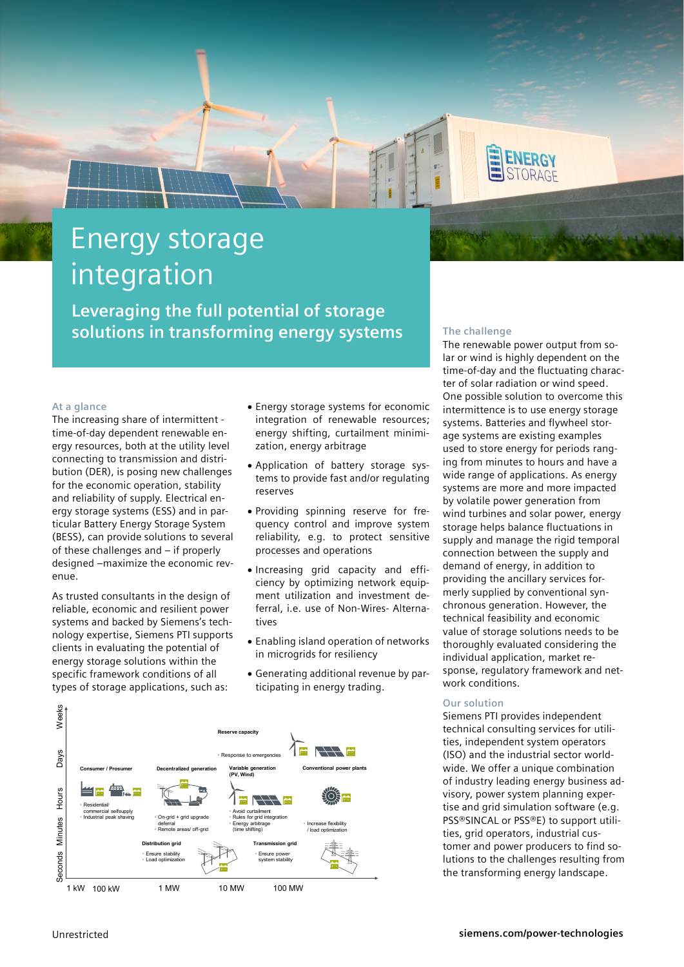

# Energy storage integration

**Leveraging the full potential of storage solutions in transforming energy systems**

### **At a glance**

The increasing share of intermittent time-of-day dependent renewable energy resources, both at the utility level connecting to transmission and distribution (DER), is posing new challenges for the economic operation, stability and reliability of supply. Electrical energy storage systems (ESS) and in particular Battery Energy Storage System (BESS), can provide solutions to several of these challenges and – if properly designed –maximize the economic revenue.

As trusted consultants in the design of reliable, economic and resilient power systems and backed by Siemens's technology expertise, Siemens PTI supports clients in evaluating the potential of energy storage solutions within the specific framework conditions of all types of storage applications, such as:

- Energy storage systems for economic integration of renewable resources; energy shifting, curtailment minimization, energy arbitrage
- Application of battery storage systems to provide fast and/or regulating reserves
- Providing spinning reserve for frequency control and improve system reliability, e.g. to protect sensitive processes and operations
- Increasing grid capacity and efficiency by optimizing network equipment utilization and investment deferral, i.e. use of Non-Wires- Alternatives
- Enabling island operation of networks in microgrids for resiliency
- Generating additional revenue by participating in energy trading.



### **The challenge**

The renewable power output from solar or wind is highly dependent on the time-of-day and the fluctuating character of solar radiation or wind speed. One possible solution to overcome this intermittence is to use energy storage systems. Batteries and flywheel storage systems are existing examples used to store energy for periods ranging from minutes to hours and have a wide range of applications. As energy systems are more and more impacted by volatile power generation from wind turbines and solar power, energy storage helps balance fluctuations in supply and manage the rigid temporal connection between the supply and demand of energy, in addition to providing the ancillary services formerly supplied by conventional synchronous generation. However, the technical feasibility and economic value of storage solutions needs to be thoroughly evaluated considering the individual application, market response, regulatory framework and network conditions.

#### **Our solution**

Siemens PTI provides independent technical consulting services for utilities, independent system operators (ISO) and the industrial sector worldwide. We offer a unique combination of industry leading energy business advisory, power system planning expertise and grid simulation software (e.g. PSS®SINCAL or PSS®E) to support utilities, grid operators, industrial customer and power producers to find solutions to the challenges resulting from the transforming energy landscape.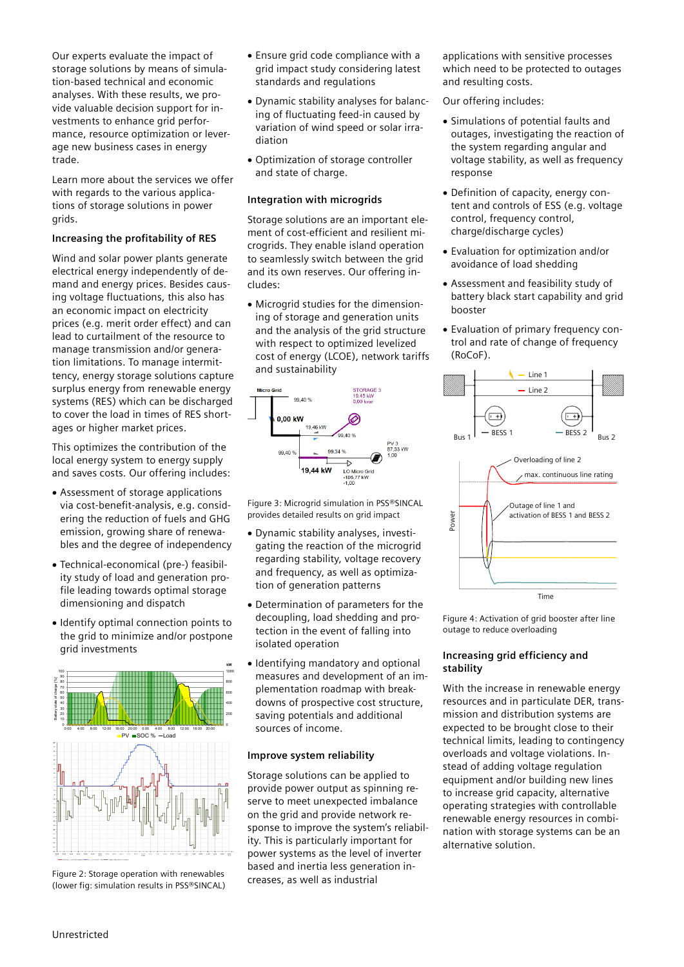Our experts evaluate the impact of storage solutions by means of simulation-based technical and economic analyses. With these results, we provide valuable decision support for investments to enhance grid performance, resource optimization or leverage new business cases in energy trade.

Learn more about the services we offer with regards to the various applications of storage solutions in power grids.

### **Increasing the profitability of RES**

Wind and solar power plants generate electrical energy independently of demand and energy prices. Besides causing voltage fluctuations, this also has an economic impact on electricity prices (e.g. merit order effect) and can lead to curtailment of the resource to manage transmission and/or generation limitations. To manage intermittency, energy storage solutions capture surplus energy from renewable energy systems (RES) which can be discharged to cover the load in times of RES shortages or higher market prices.

This optimizes the contribution of the local energy system to energy supply and saves costs. Our offering includes:

- Assessment of storage applications via cost-benefit-analysis, e.g. considering the reduction of fuels and GHG emission, growing share of renewables and the degree of independency
- Technical-economical (pre-) feasibility study of load and generation profile leading towards optimal storage dimensioning and dispatch
- Identify optimal connection points to the grid to minimize and/or postpone grid investments



Figure 2: Storage operation with renewables (lower fig: simulation results in PSS®SINCAL)

- Ensure grid code compliance with a grid impact study considering latest standards and regulations
- Dynamic stability analyses for balancing of fluctuating feed-in caused by variation of wind speed or solar irradiation
- Optimization of storage controller and state of charge.

#### **Integration with microgrids**

Storage solutions are an important element of cost-efficient and resilient microgrids. They enable island operation to seamlessly switch between the grid and its own reserves. Our offering includes:

• Microgrid studies for the dimensioning of storage and generation units and the analysis of the grid structure with respect to optimized levelized cost of energy (LCOE), network tariffs and sustainability



Figure 3: Microgrid simulation in PSS®SINCAL provides detailed results on grid impact

- Dynamic stability analyses, investigating the reaction of the microgrid regarding stability, voltage recovery and frequency, as well as optimization of generation patterns
- Determination of parameters for the decoupling, load shedding and protection in the event of falling into isolated operation
- Identifying mandatory and optional measures and development of an implementation roadmap with breakdowns of prospective cost structure, saving potentials and additional sources of income.

#### **Improve system reliability**

Storage solutions can be applied to provide power output as spinning reserve to meet unexpected imbalance on the grid and provide network response to improve the system's reliability. This is particularly important for power systems as the level of inverter based and inertia less generation increases, as well as industrial

applications with sensitive processes which need to be protected to outages and resulting costs.

Our offering includes:

- Simulations of potential faults and outages, investigating the reaction of the system regarding angular and voltage stability, as well as frequency response
- Definition of capacity, energy content and controls of ESS (e.g. voltage control, frequency control, charge/discharge cycles)
- Evaluation for optimization and/or avoidance of load shedding
- Assessment and feasibility study of battery black start capability and grid booster
- Evaluation of primary frequency control and rate of change of frequency (RoCoF).



Figure 4: Activation of grid booster after line outage to reduce overloading

#### **Increasing grid efficiency and stability**

With the increase in renewable energy resources and in particulate DER, transmission and distribution systems are expected to be brought close to their technical limits, leading to contingency overloads and voltage violations. Instead of adding voltage regulation equipment and/or building new lines to increase grid capacity, alternative operating strategies with controllable renewable energy resources in combination with storage systems can be an alternative solution.